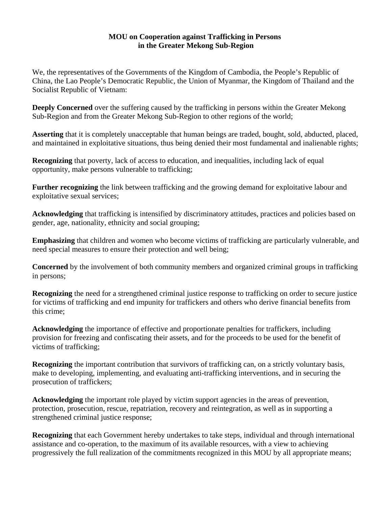#### **MOU on Cooperation against Trafficking in Persons in the Greater Mekong Sub-Region**

We, the representatives of the Governments of the Kingdom of Cambodia, the People's Republic of China, the Lao People's Democratic Republic, the Union of Myanmar, the Kingdom of Thailand and the Socialist Republic of Vietnam:

**Deeply Concerned** over the suffering caused by the trafficking in persons within the Greater Mekong Sub-Region and from the Greater Mekong Sub-Region to other regions of the world;

**Asserting** that it is completely unacceptable that human beings are traded, bought, sold, abducted, placed, and maintained in exploitative situations, thus being denied their most fundamental and inalienable rights;

**Recognizing** that poverty, lack of access to education, and inequalities, including lack of equal opportunity, make persons vulnerable to trafficking;

**Further recognizing** the link between trafficking and the growing demand for exploitative labour and exploitative sexual services;

**Acknowledging** that trafficking is intensified by discriminatory attitudes, practices and policies based on gender, age, nationality, ethnicity and social grouping;

**Emphasizing** that children and women who become victims of trafficking are particularly vulnerable, and need special measures to ensure their protection and well being;

**Concerned** by the involvement of both community members and organized criminal groups in trafficking in persons;

**Recognizing** the need for a strengthened criminal justice response to trafficking on order to secure justice for victims of trafficking and end impunity for traffickers and others who derive financial benefits from this crime;

**Acknowledging** the importance of effective and proportionate penalties for traffickers, including provision for freezing and confiscating their assets, and for the proceeds to be used for the benefit of victims of trafficking;

**Recognizing** the important contribution that survivors of trafficking can, on a strictly voluntary basis, make to developing, implementing, and evaluating anti-trafficking interventions, and in securing the prosecution of traffickers;

**Acknowledging** the important role played by victim support agencies in the areas of prevention, protection, prosecution, rescue, repatriation, recovery and reintegration, as well as in supporting a strengthened criminal justice response;

**Recognizing** that each Government hereby undertakes to take steps, individual and through international assistance and co-operation, to the maximum of its available resources, with a view to achieving progressively the full realization of the commitments recognized in this MOU by all appropriate means;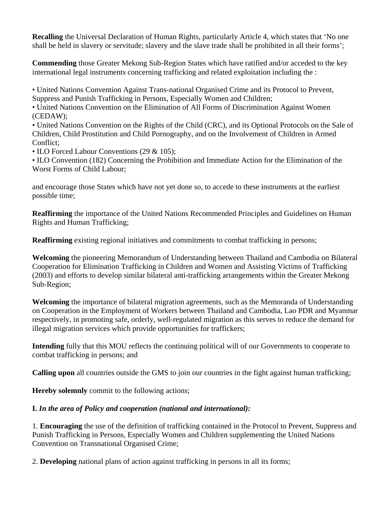**Recalling** the Universal Declaration of Human Rights, particularly Article 4, which states that 'No one shall be held in slavery or servitude; slavery and the slave trade shall be prohibited in all their forms';

**Commending** those Greater Mekong Sub-Region States which have ratified and/or acceded to the key international legal instruments concerning trafficking and related exploitation including the :

• United Nations Convention Against Trans-national Organised Crime and its Protocol to Prevent, Suppress and Punish Trafficking in Persons, Especially Women and Children;

• United Nations Convention on the Elimination of All Forms of Discrimination Against Women (CEDAW);

• United Nations Convention on the Rights of the Child (CRC), and its Optional Protocols on the Sale of Children, Child Prostitution and Child Pornography, and on the Involvement of Children in Armed Conflict;

• ILO Forced Labour Conventions (29 & 105);

• ILO Convention (182) Concerning the Prohibition and Immediate Action for the Elimination of the Worst Forms of Child Labour;

and encourage those States which have not yet done so, to accede to these instruments at the earliest possible time;

**Reaffirming** the importance of the United Nations Recommended Principles and Guidelines on Human Rights and Human Trafficking;

**Reaffirming** existing regional initiatives and commitments to combat trafficking in persons;

**Welcoming** the pioneering Memorandum of Understanding between Thailand and Cambodia on Bilateral Cooperation for Elimination Trafficking in Children and Women and Assisting Victims of Trafficking (2003) and efforts to develop similar bilateral anti-trafficking arrangements within the Greater Mekong Sub-Region;

**Welcoming** the importance of bilateral migration agreements, such as the Memoranda of Understanding on Cooperation in the Employment of Workers between Thailand and Cambodia, Lao PDR and Myanmar respectively, in promoting safe, orderly, well-regulated migration as this serves to reduce the demand for illegal migration services which provide opportunities for traffickers;

**Intending** fully that this MOU reflects the continuing political will of our Governments to cooperate to combat trafficking in persons; and

**Calling upon** all countries outside the GMS to join our countries in the fight against human trafficking;

**Hereby solemnly** commit to the following actions;

### **I.** *In the area of Policy and cooperation (national and international):*

1. **Encouraging** the use of the definition of trafficking contained in the Protocol to Prevent, Suppress and Punish Trafficking in Persons, Especially Women and Children supplementing the United Nations Convention on Transnational Organised Crime;

2. **Developing** national plans of action against trafficking in persons in all its forms;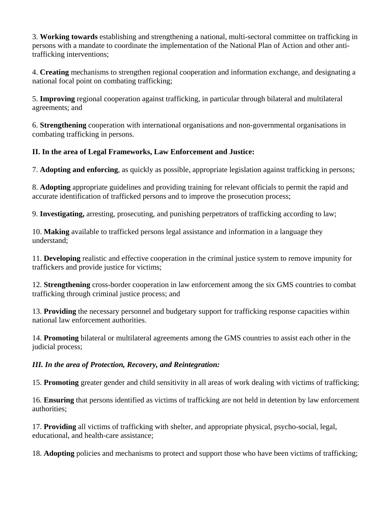3. **Working towards** establishing and strengthening a national, multi-sectoral committee on trafficking in persons with a mandate to coordinate the implementation of the National Plan of Action and other antitrafficking interventions;

4. **Creating** mechanisms to strengthen regional cooperation and information exchange, and designating a national focal point on combating trafficking;

5. **Improving** regional cooperation against trafficking, in particular through bilateral and multilateral agreements; and

6. **Strengthening** cooperation with international organisations and non-governmental organisations in combating trafficking in persons.

### **II. In the area of Legal Frameworks, Law Enforcement and Justice:**

7. **Adopting and enforcing**, as quickly as possible, appropriate legislation against trafficking in persons;

8. **Adopting** appropriate guidelines and providing training for relevant officials to permit the rapid and accurate identification of trafficked persons and to improve the prosecution process;

9. **Investigating,** arresting, prosecuting, and punishing perpetrators of trafficking according to law;

10. **Making** available to trafficked persons legal assistance and information in a language they understand;

11. **Developing** realistic and effective cooperation in the criminal justice system to remove impunity for traffickers and provide justice for victims;

12. **Strengthening** cross-border cooperation in law enforcement among the six GMS countries to combat trafficking through criminal justice process; and

13. **Providing** the necessary personnel and budgetary support for trafficking response capacities within national law enforcement authorities.

14. **Promoting** bilateral or multilateral agreements among the GMS countries to assist each other in the judicial process;

#### *III. In the area of Protection, Recovery, and Reintegration:*

15. **Promoting** greater gender and child sensitivity in all areas of work dealing with victims of trafficking;

16. **Ensuring** that persons identified as victims of trafficking are not held in detention by law enforcement authorities;

17. **Providing** all victims of trafficking with shelter, and appropriate physical, psycho-social, legal, educational, and health-care assistance;

18. **Adopting** policies and mechanisms to protect and support those who have been victims of trafficking;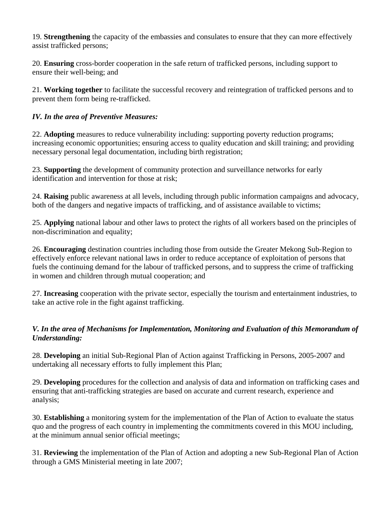19. **Strengthening** the capacity of the embassies and consulates to ensure that they can more effectively assist trafficked persons;

20. **Ensuring** cross-border cooperation in the safe return of trafficked persons, including support to ensure their well-being; and

21. **Working together** to facilitate the successful recovery and reintegration of trafficked persons and to prevent them form being re-trafficked.

### *IV. In the area of Preventive Measures:*

22. **Adopting** measures to reduce vulnerability including: supporting poverty reduction programs; increasing economic opportunities; ensuring access to quality education and skill training; and providing necessary personal legal documentation, including birth registration;

23. **Supporting** the development of community protection and surveillance networks for early identification and intervention for those at risk;

24. **Raising** public awareness at all levels, including through public information campaigns and advocacy, both of the dangers and negative impacts of trafficking, and of assistance available to victims;

25. **Applying** national labour and other laws to protect the rights of all workers based on the principles of non-discrimination and equality;

26. **Encouraging** destination countries including those from outside the Greater Mekong Sub-Region to effectively enforce relevant national laws in order to reduce acceptance of exploitation of persons that fuels the continuing demand for the labour of trafficked persons, and to suppress the crime of trafficking in women and children through mutual cooperation; and

27. **Increasing** cooperation with the private sector, especially the tourism and entertainment industries, to take an active role in the fight against trafficking.

### *V. In the area of Mechanisms for Implementation, Monitoring and Evaluation of this Memorandum of Understanding:*

28. **Developing** an initial Sub-Regional Plan of Action against Trafficking in Persons, 2005-2007 and undertaking all necessary efforts to fully implement this Plan;

29. **Developing** procedures for the collection and analysis of data and information on trafficking cases and ensuring that anti-trafficking strategies are based on accurate and current research, experience and analysis;

30. **Establishing** a monitoring system for the implementation of the Plan of Action to evaluate the status quo and the progress of each country in implementing the commitments covered in this MOU including, at the minimum annual senior official meetings;

31. **Reviewing** the implementation of the Plan of Action and adopting a new Sub-Regional Plan of Action through a GMS Ministerial meeting in late 2007;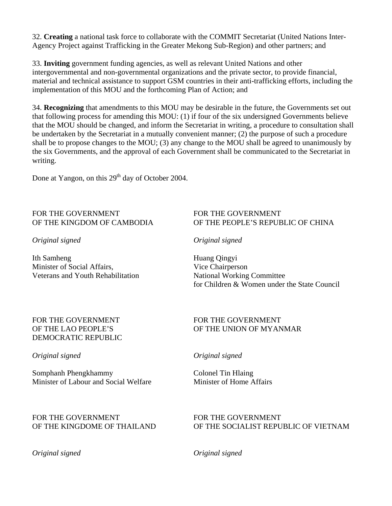32. **Creating** a national task force to collaborate with the COMMIT Secretariat (United Nations Inter-Agency Project against Trafficking in the Greater Mekong Sub-Region) and other partners; and

33. **Inviting** government funding agencies, as well as relevant United Nations and other intergovernmental and non-governmental organizations and the private sector, to provide financial, material and technical assistance to support GSM countries in their anti-trafficking efforts, including the implementation of this MOU and the forthcoming Plan of Action; and

34. **Recognizing** that amendments to this MOU may be desirable in the future, the Governments set out that following process for amending this MOU: (1) if four of the six undersigned Governments believe that the MOU should be changed, and inform the Secretariat in writing, a procedure to consultation shall be undertaken by the Secretariat in a mutually convenient manner; (2) the purpose of such a procedure shall be to propose changes to the MOU; (3) any change to the MOU shall be agreed to unanimously by the six Governments, and the approval of each Government shall be communicated to the Secretariat in writing.

Done at Yangon, on this 29<sup>th</sup> day of October 2004.

## FOR THE GOVERNMENT FOR THE GOVERNMENT

Ith Samheng Huang Qingyi Minister of Social Affairs, Vice Chairperson Veterans and Youth Rehabilitation National Working Committee

### OF THE KINGDOM OF CAMBODIA OF THE PEOPLE'S REPUBLIC OF CHINA

*Original signed Original signed* 

for Children & Women under the State Council

### FOR THE GOVERNMENT FOR THE GOVERNMENT DEMOCRATIC REPUBLIC

#### *Original signed Original signed*

Somphanh Phengkhammy Colonel Tin Hlaing Minister of Labour and Social Welfare Minister of Home Affairs

### FOR THE GOVERNMENT FOR THE GOVERNMENT

*Original signed Original signed* 

### OF THE LAO PEOPLE'S OF THE UNION OF MYANMAR

# OF THE KINGDOME OF THAILAND OF THE SOCIALIST REPUBLIC OF VIETNAM